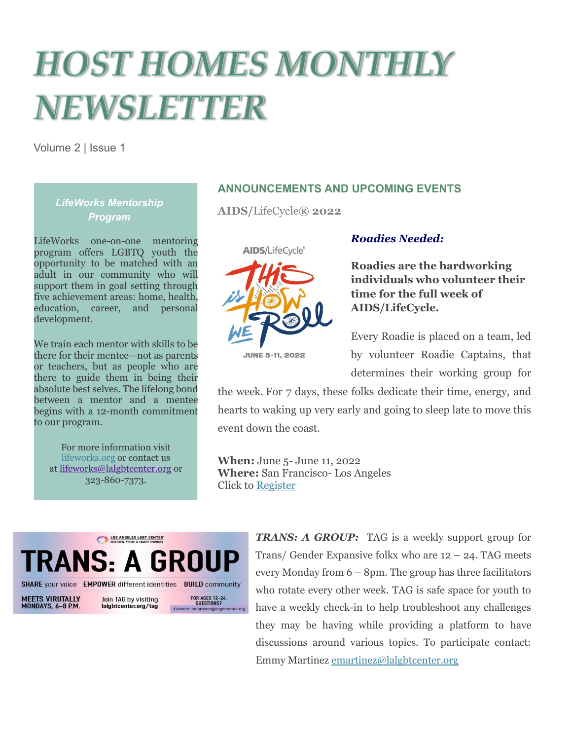# **HOST HOMES MONTHLY** NEWSLETTER

Volume 2 | Issue 1

## *LifeWorks Mentorship Program*

LifeWorks one-on-one mentoring program offers LGBTQ youth the opportunity to be matched with an adult in our community who will support them in goal setting through five achievement areas: home, health, education, career, and personal development.

We train each mentor with skills to be there for their mentee—not as parents or teachers, but as people who are there to guide them in being their absolute best selves. The lifelong bond between a mentor and a mentee begins with a 12-month commitment to our program.

For more information visit [lifeworks.org](https://lifeworksla.org/) or contact us at [lifeworks@lalgbtcenter.org](mailto:lifeworks@lalgbtcenter.org) or 323-860-7373.

## **ANNOUNCEMENTS AND UPCOMING EVENTS**

**AIDS/**LifeCycle**® 2022**



#### *Roadies Needed:*

**Roadies are the hardworking individuals who volunteer their time for the full week of AIDS/LifeCycle.**

Every Roadie is placed on a team, led by volunteer Roadie Captains, that determines their working group for

the week. For 7 days, these folks dedicate their time, energy, and hearts to waking up very early and going to sleep late to move this event down the coast.

**When:** June 5- June 11, 2022 **Where:** San Francisco- Los Angeles Click to [Register](https://actnow.tofighthiv.org/site/TRR/Events/AIDSLifeCycleCenter?fr_id=2381&pg=tfind&_ga=2.222588379.1164651814.1651607378-696248870.1651607378)



*TRANS: A GROUP:* TAG is a weekly support group for Trans/ Gender Expansive folkx who are  $12 - 24$ . TAG meets every Monday from 6 – 8pm. The group has three facilitators who rotate every other week. TAG is safe space for youth to have a weekly check-in to help troubleshoot any challenges they may be having while providing a platform to have discussions around various topics. To participate contact: Emmy Martinez [emartinez@lalgbtcenter.org](mailto:emartinez@lalgbtcenter.org)